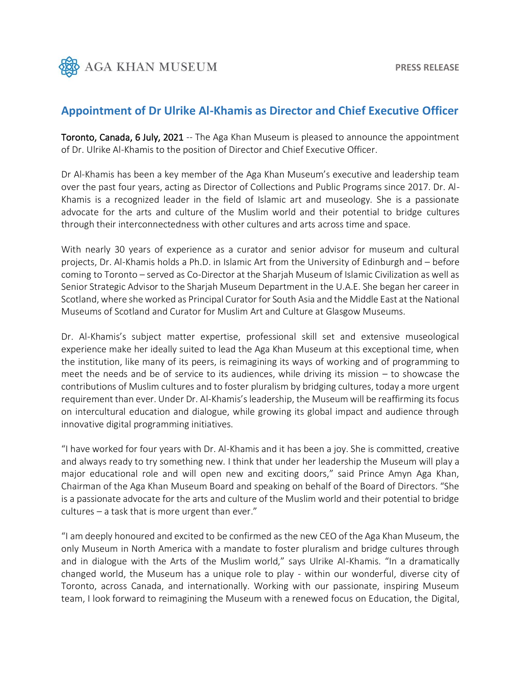

## **Appointment of Dr Ulrike Al-Khamis as Director and Chief Executive Officer**

Toronto, Canada, 6 July, 2021 -- The Aga Khan Museum is pleased to announce the appointment of Dr. Ulrike Al-Khamis to the position of Director and Chief Executive Officer.

Dr Al-Khamis has been a key member of the Aga Khan Museum's executive and leadership team over the past four years, acting as Director of Collections and Public Programs since 2017. Dr. Al-Khamis is a recognized leader in the field of Islamic art and museology. She is a passionate advocate for the arts and culture of the Muslim world and their potential to bridge cultures through their interconnectedness with other cultures and arts across time and space.

With nearly 30 years of experience as a curator and senior advisor for museum and cultural projects, Dr. Al-Khamis holds a Ph.D. in Islamic Art from the University of Edinburgh and – before coming to Toronto – served as Co-Director at the Sharjah Museum of Islamic Civilization as well as Senior Strategic Advisor to the Sharjah Museum Department in the U.A.E. She began her career in Scotland, where she worked as Principal Curator for South Asia and the Middle East at the National Museums of Scotland and Curator for Muslim Art and Culture at Glasgow Museums.

Dr. Al-Khamis's subject matter expertise, professional skill set and extensive museological experience make her ideally suited to lead the Aga Khan Museum at this exceptional time, when the institution, like many of its peers, is reimagining its ways of working and of programming to meet the needs and be of service to its audiences, while driving its mission – to showcase the contributions of Muslim cultures and to foster pluralism by bridging cultures, today a more urgent requirement than ever. Under Dr. Al-Khamis's leadership, the Museum will be reaffirming its focus on intercultural education and dialogue, while growing its global impact and audience through innovative digital programming initiatives.

"I have worked for four years with Dr. Al-Khamis and it has been a joy. She is committed, creative and always ready to try something new. I think that under her leadership the Museum will play a major educational role and will open new and exciting doors," said Prince Amyn Aga Khan, Chairman of the Aga Khan Museum Board and speaking on behalf of the Board of Directors. "She is a passionate advocate for the arts and culture of the Muslim world and their potential to bridge cultures – a task that is more urgent than ever."

"I am deeply honoured and excited to be confirmed as the new CEO of the Aga Khan Museum, the only Museum in North America with a mandate to foster pluralism and bridge cultures through and in dialogue with the Arts of the Muslim world," says Ulrike Al-Khamis. "In a dramatically changed world, the Museum has a unique role to play - within our wonderful, diverse city of Toronto, across Canada, and internationally. Working with our passionate, inspiring Museum team, I look forward to reimagining the Museum with a renewed focus on Education, the Digital,